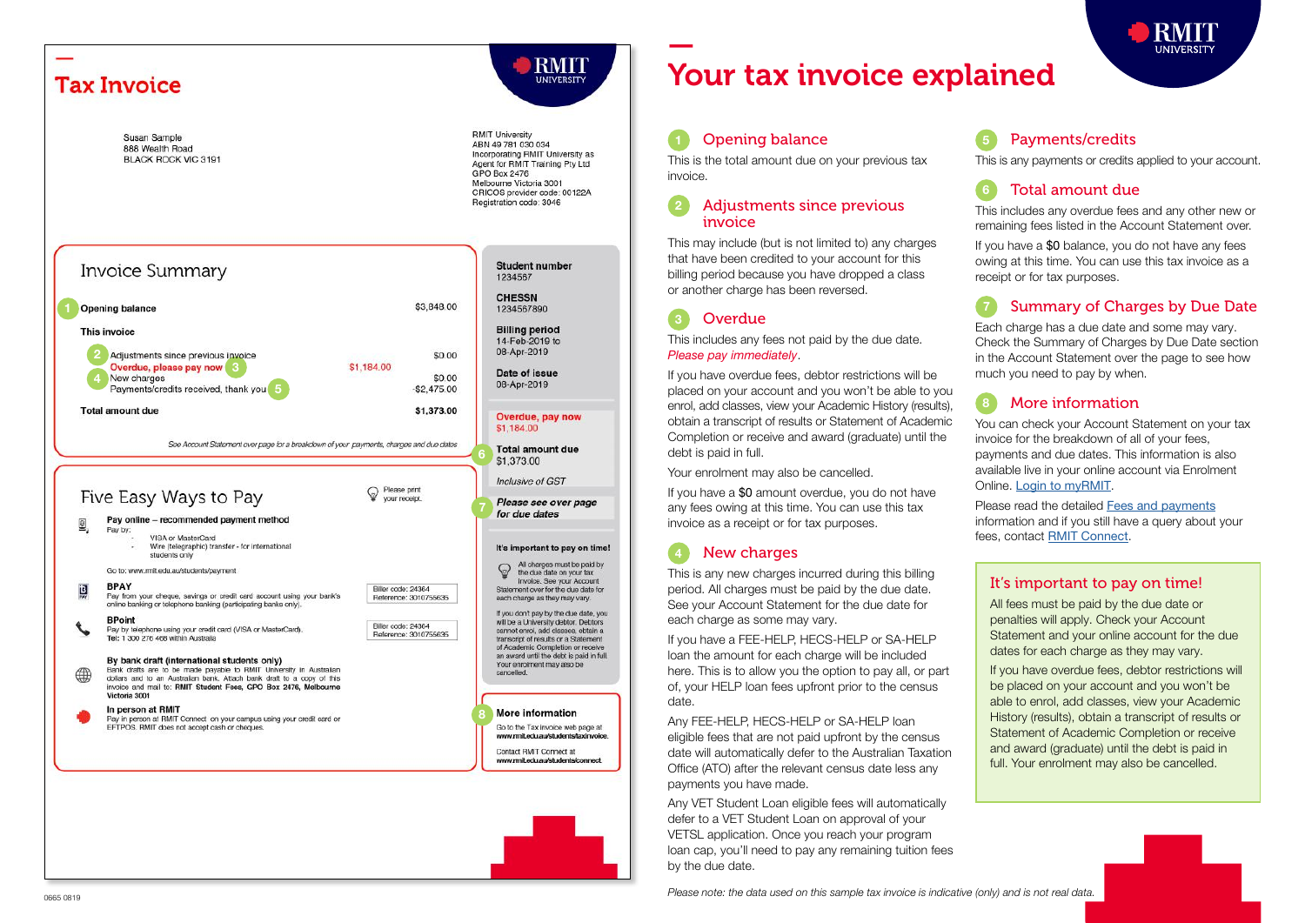

# — Your tax invoice explained

#### Opening balance

This is the total amount due on your previous tax invoice.

#### 2 Adjustments since previous invoice

This may include (but is not limited to) any charges that have been credited to your account for this billing period because you have dropped a class or another charge has been reversed.

This includes any fees not paid by the due date. Please pay immediately .

If you have overdue fees, debtor restrictions will be placed on your account and you won't be able to you enrol, add classes, view your Academic History (results), obtain a transcript of results or Statement of Academic Completion or receive and award (graduate) until the debt is paid in full.

Your enrolment may also be cancelled.

If you have a \$0 amount overdue, you do not have any fees owing at this time. You can use this tax invoice as a receipt or for tax purposes.

#### New charges

**Overdue** 

This is any new charges incurred during this billing period. All charges must be paid by the due date. See your Account Statement for the due date for each charge as some may vary.

If you have a FEE-HELP, HECS-HELP or SA-HELP loan the amount for each charge will be included here. This is to allow you the option to pay all, or part of, your HELP loan fees upfront prior to the census date.

Any FEE-HELP, HECS-HELP or SA-HELP loan eligible fees that are not paid upfront by the census date will automatically defer to the Australian Taxation Office (ATO) after the relevant census date less any payments you have made.

Any VET Student Loan eligible fees will automatically defer to a VET Student Loan on approval of your VETSL application. Once you reach your program loan cap, you'll need to pay any remaining tuition fees by the due date.

Payments/credits

This is any payments or credits applied to your account.

# Total amount due

This includes any overdue fees and any other new or remaining fees listed in the Account Statement over.

If you have a \$0 balance, you do not have any fees owing at this time. You can use this tax invoice as a receipt or for tax purposes.

# **Summary of Charges by Due Date**

Each charge has a due date and some may vary. Check the Summary of Charges by Due Date section in the Account Statement over the page to see how much you need to pay by when.

# 8 More information

You can check your Account Statement on your tax invoice for the breakdown of all of your fees, payments and due dates. This information is also available live in your online account via Enrolment Online. [Login to myRMIT](https://my.rmit.edu.au).

Please read the detailed [Fees and payments](https://www.rmit.edu.au/students/student-essentials/fees-and-payments) information and if you still have a query about your fees, contact **[RMIT Connect](https://www.rmit.edu.au/students/contact-and-help/connect)**.

### It's important to pay on time!

All fees must be paid by the due date or penalties will apply. Check your Account Statement and your online account for the due dates for each charge as they may vary.

If you have overdue fees, debtor restrictions will be placed on your account and you won't be able to enrol, add classes, view your Academic History (results), obtain a transcript of results or Statement of Academic Completion or receive and award (graduate) until the debt is paid in full. Your enrolment may also be cancelled.

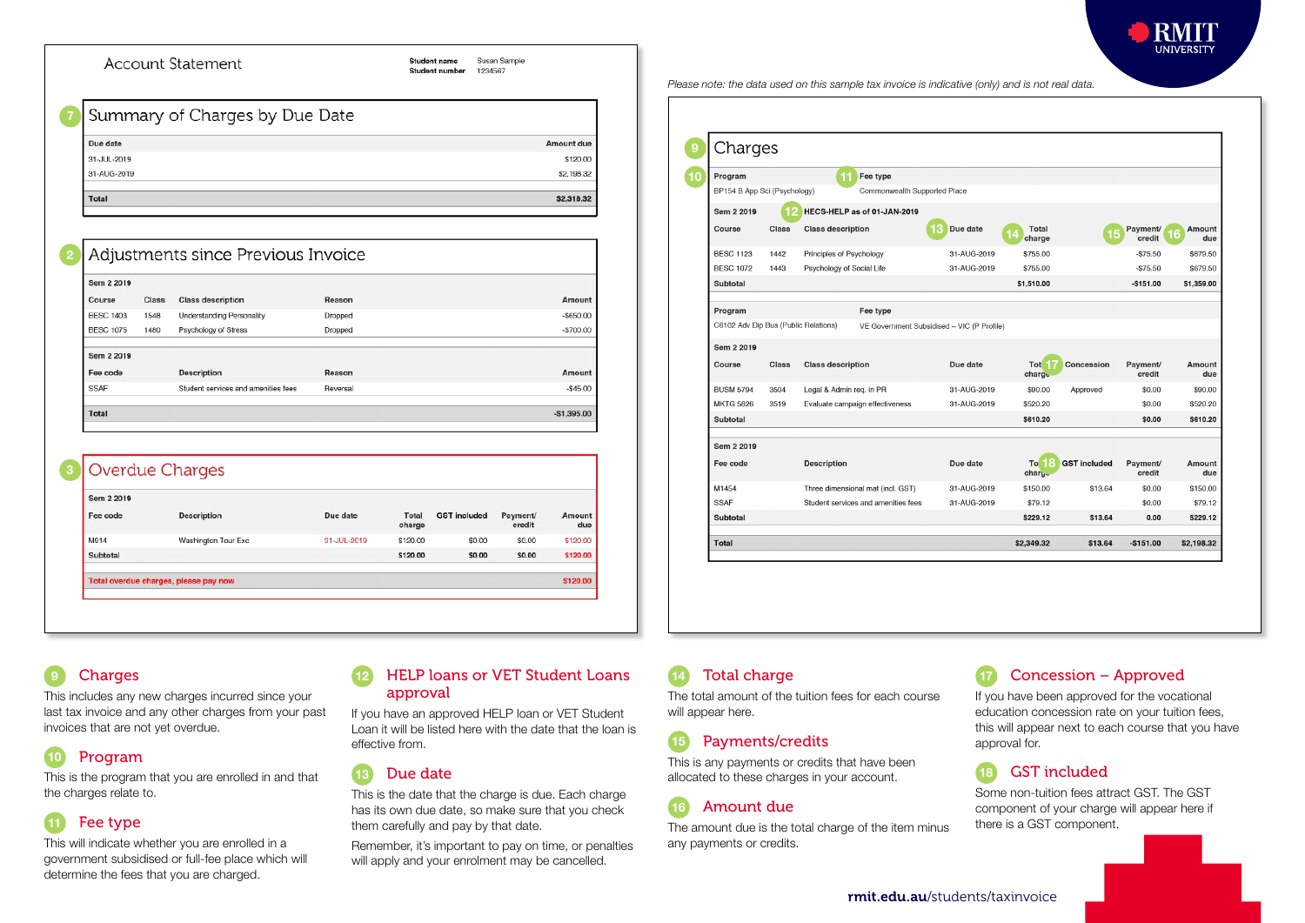

Charges 9 **Program**<br>BP154 B App Sci (Psychology) **Commony** Commonwealth Supported Place Sem 2 2019 12 HECS-HELP as of 01-JAN-2019 Course Class Class description 13 Due date 14 Total Charge 15 Payment (16 Amount due 31-AUG-2019 \$755.00  $-575.50$ \$679.50 **RESC 1123** 1442 Principles of Psychology **BESC 1072** 1443 Psychology of Social Life 31-AUG-2019 \$755.00  $-8755$ \$679.50 Subtotal \$1,510.00  $-5151.00$ \$1,359.00 Program Fee type C6102 Adv Dip Bus (Public Relations) VE Government Subsidised - VIC (P Profile) Sem 2 2019 Due date Course Class Class description Tote | 7<br>| charge Concession Payment/ Amount credit du **21-AUG-2010 BUSM 5794** 3504 Legal & Admin reg. in PR \$90.00 Approved \$0.00 \$90.00 **MKTG 5826** 31-AUG-2019 \$520,20 \$0.00 \$520,20 3519 Evaluate campaign effectiveness Subtotal \$610.20 \$0.00 \$610.20 Sem 2 2019 To **8** GST included<br>charge Fee code Description Due date Payment/ Amount credit du M1454 Three dimensional mat (incl. GST) 31-AUG-2019 \$150.00 \$13.64 \$0.00 \$150.00 SSAF Student services and amenities fees 31-AUG-2019 \$79.12  $$0.00$ \$79.12 Subtotal \$229.12 \$13,64  $0.00$ \$229.12 Total \$2,349.32 \$13.64  $-$151.00$ \$2,198.32

# **Charges**

This includes any new charges incurred since your last tax invoice and any other charges from your past invoices that are not yet overdue.

# Program

This is the program that you are enrolled in and that the charges relate to.

# 11 Fee type

This will indicate whether you are enrolled in a government subsidised or full-fee place which will determine the fees that you are charged.

#### **HELP loans or VET Student Loans** approval

If you have an approved HELP loan or VET Student Loan it will be listed here with the date that the loan is effective from.

#### 13 Due date

This is the date that the charge is due. Each charge has its own due date, so make sure that you check them carefully and pay by that date.

Remember, it's important to pay on time, or penalties will apply and your enrolment may be cancelled.

### 14 Total charge

The total amount of the tuition fees for each course will appear here.

#### 15 Payments/credits

This is any payments or credits that have been allocated to these charges in your account.

### 16 Amount due

The amount due is the total charge of the item minus any payments or credits.

# Concession – Approved

If you have been approved for the vocational education concession rate on your tuition fees, this will appear next to each course that you have approval for.

# 18 GST included

Some non-tuition fees attract GST. The GST component of your charge will appear here if there is a GST component.